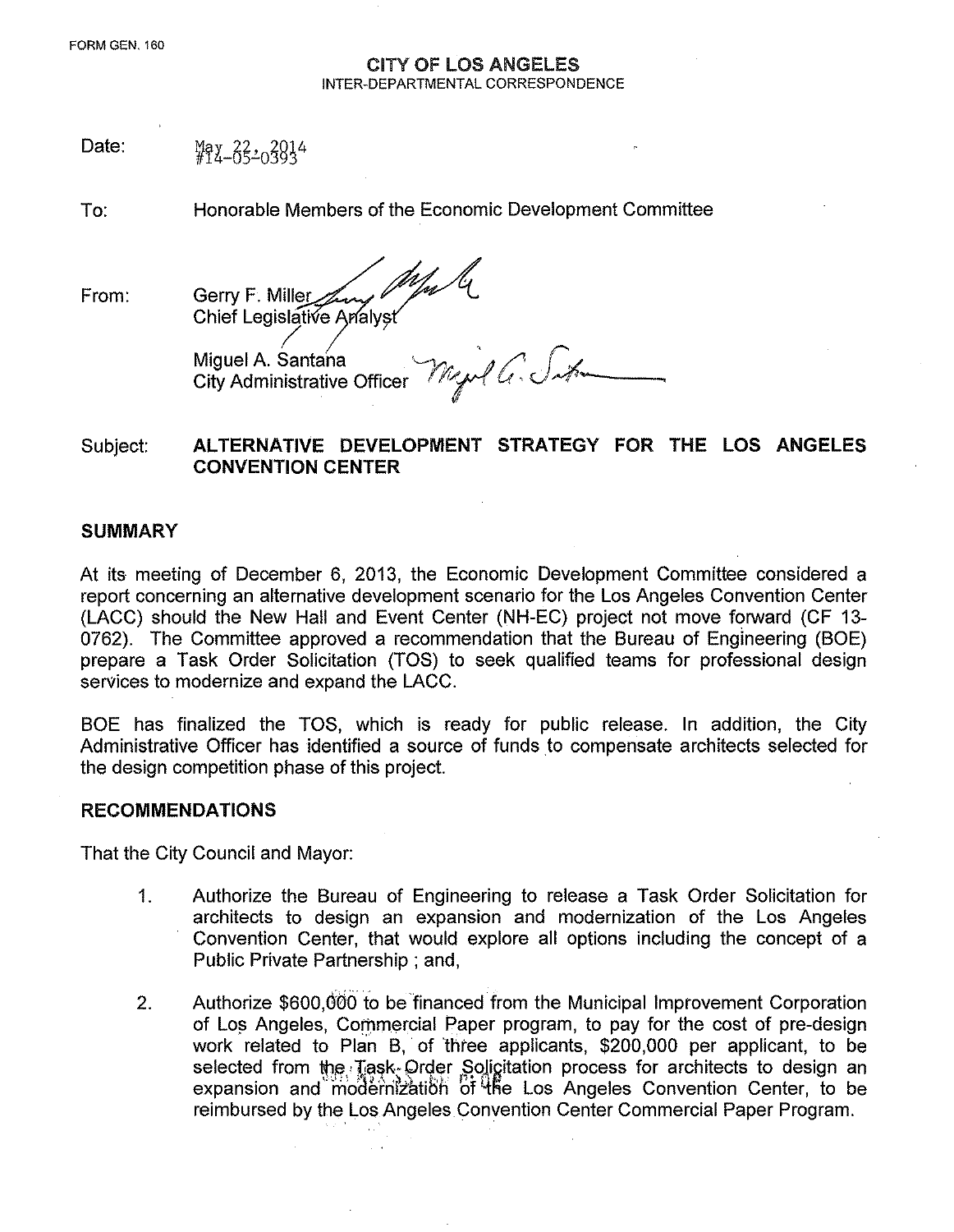#### CITY OF lOS ANGELES INTER-DEPARTMENTAL CORRESPONDENCE

Date:  $4222220394$ 

To: Honorable Members of the Economic Development Committee

From: Gerry F. Miller Chief Legislative Analyst

*~ ~ I ,* Miguel A. Santana '--171 *"J /" r,,L* City Administrative Officer . *f;j , {f. <sup>J</sup> ,vf"-~--~*

# Subject: ALTERNATIVE DEVELOPMENT STRATEGY FOR THE LOS ANGELES CONVENTION CENTER

## **SUMMARY**

At its meeting of December 6, 2013, the Economic Development Committee considered a report concerning an alternative development scenario for the Los Angeles Convention Center (LACC) should the New Hall and Event Center (NH-EC) project not move forward (CF 13- 0762). The Committee approved a recommendation that the Bureau of Engineering (BOE) prepare a Task Order Solicitation (TOS) to seek qualified teams for professional design services to modernize and expand the LACC.

BOE has finalized the TOS, which is ready for public release. In addition, the City Administrative Officer has identified a source of funds to compensate architects selected for the design competition phase of this project.

## RECOMMENDATIONS

That the City Council and Mayor:

- 1. Authorize the Bureau of Engineering to release a Task Order Solicitation for architects to design an expansion and modernization of the Los Angeles Convention Center, that would explore all options including the concept of a Public Private Partnership; and,
- 2. Authorize \$600,600 to be financed from the Municipal Improvement Corporation of Los Angeles, Commercial Paper program, to pay for the cost of pre-design work related to Plan B, of 'three applicants, \$200,000 per applicant, to be selected from the Task, Order Solicitation process for architects to design an expansion and modernization of the Los Angeles Convention Center, to be reimbursed by the Los Angeles Convention Center Commercial Paper Program.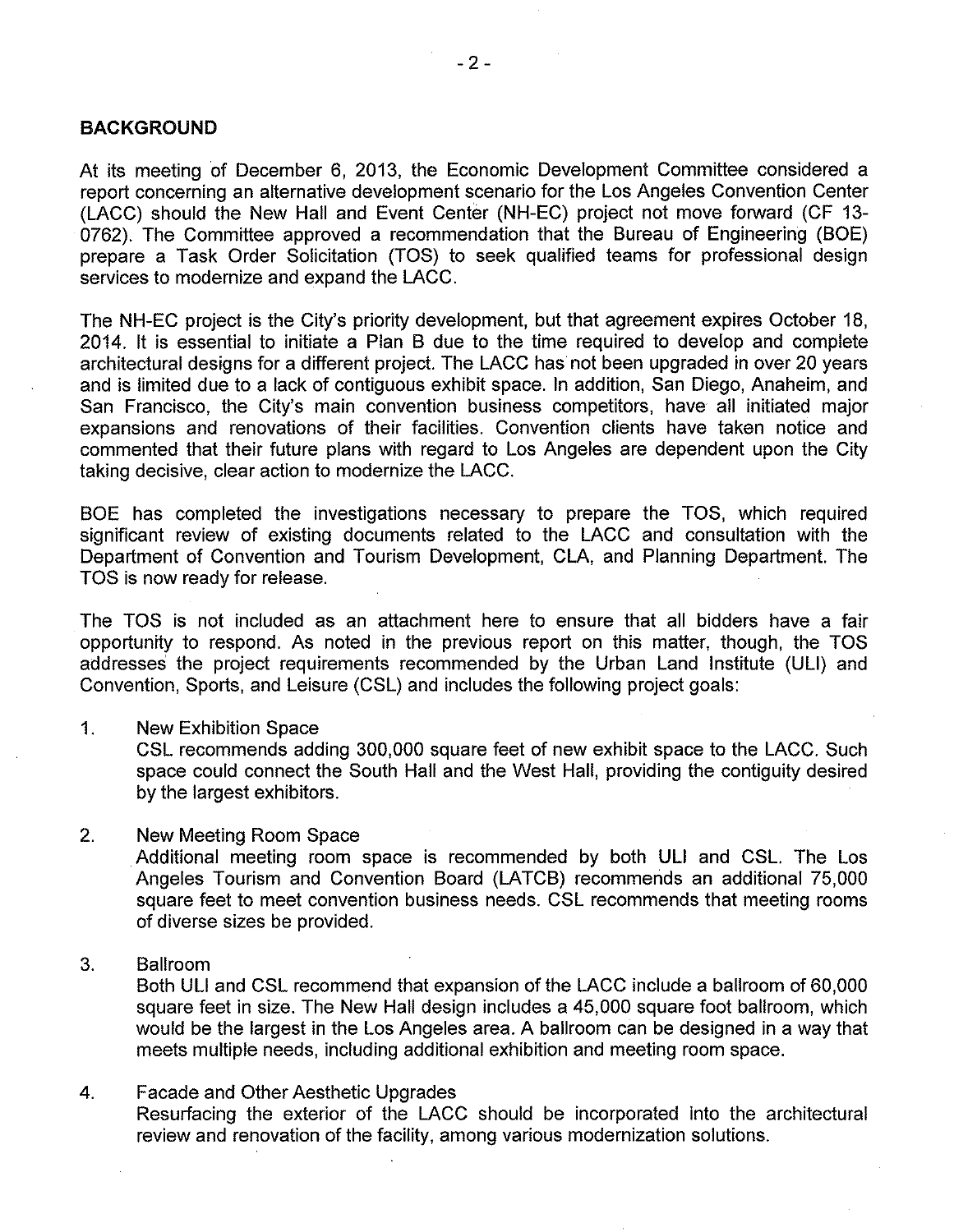### **BACKGROUND**

At its meeting of December 6, 2013, the Economic Development Committee considered a report concerning an alternative development scenario for the Los Angeles Convention Center (LACC) should the New Hall and Event Center (NH-EC) project not move forward (CF 13- 0762). The Committee approved a recommendation that the Bureau of Engineering (BOE) prepare a Task Order Solicitation (TOS) to seek qualified teams for professional design services to modernize and expand the LACC.

The NH-EC project is the City's priority development, but that agreement expires October 18, 2014. It is essential to initiate a Plan B due to the time required to develop and complete architectural designs for a different project. The LACC has not been upgraded in over 20 years and is limited due to a lack of contiguous exhibit space. In addition, San Diego, Anaheim, and San Francisco, the City's main convention business competitors, have all initiated major expansions and renovations of their facilities. Convention clients have taken notice and commented that their future plans with regard to Los Angeles are dependent upon the City taking decisive, clear action to modernize the LACC.

BOE has completed the investigations necessary to prepare the TOS, which required significant review of existing documents related to the LACC and consultation with the Department of Convention and Tourism Development, CLA, and Planning Department. The TOS is now ready for release.

The TOS is not included as an attachment here to ensure that all bidders have a fair opportunity to respond. As noted in the previous report on this matter, though, the TOS addresses the project requirements recommended by the Urban Land Institute (UU) and Convention, Sports, and Leisure (CSL) and includes the following project goals:

1. New Exhibition Space

CSL recommends adding 300,000 square feet of new exhibit space to the LACC. Such space could connect the South Hall and the West Hall, providing the contiguity desired by the largest exhibitors.

- 2. New Meeting Room Space Additional meeting room space is recommended by both **UU** and CSL. The Los Angeles Tourism and Convention Board (LATCB) recommends an additional 75,000 square feet to meet convention business needs. CSL recommends that meeting rooms of diverse sizes be provided.
- 3. Ballroom

Both **UU** and CSL recommend that expansion of the LACC include a ballroom of 60,000 square feet in size. The New Hall design includes a 45,000 square foot ballroom, which would be the largest in the Los Angeles area. A ballroom can be designed in a way that meets multiple needs, including additional exhibition and meeting room space.

4. Facade and Other Aesthetic Upgrades Resurfacing the exterior of the LACC should be incorporated into the architectural review and renovation of the facility, among various modernization solutions.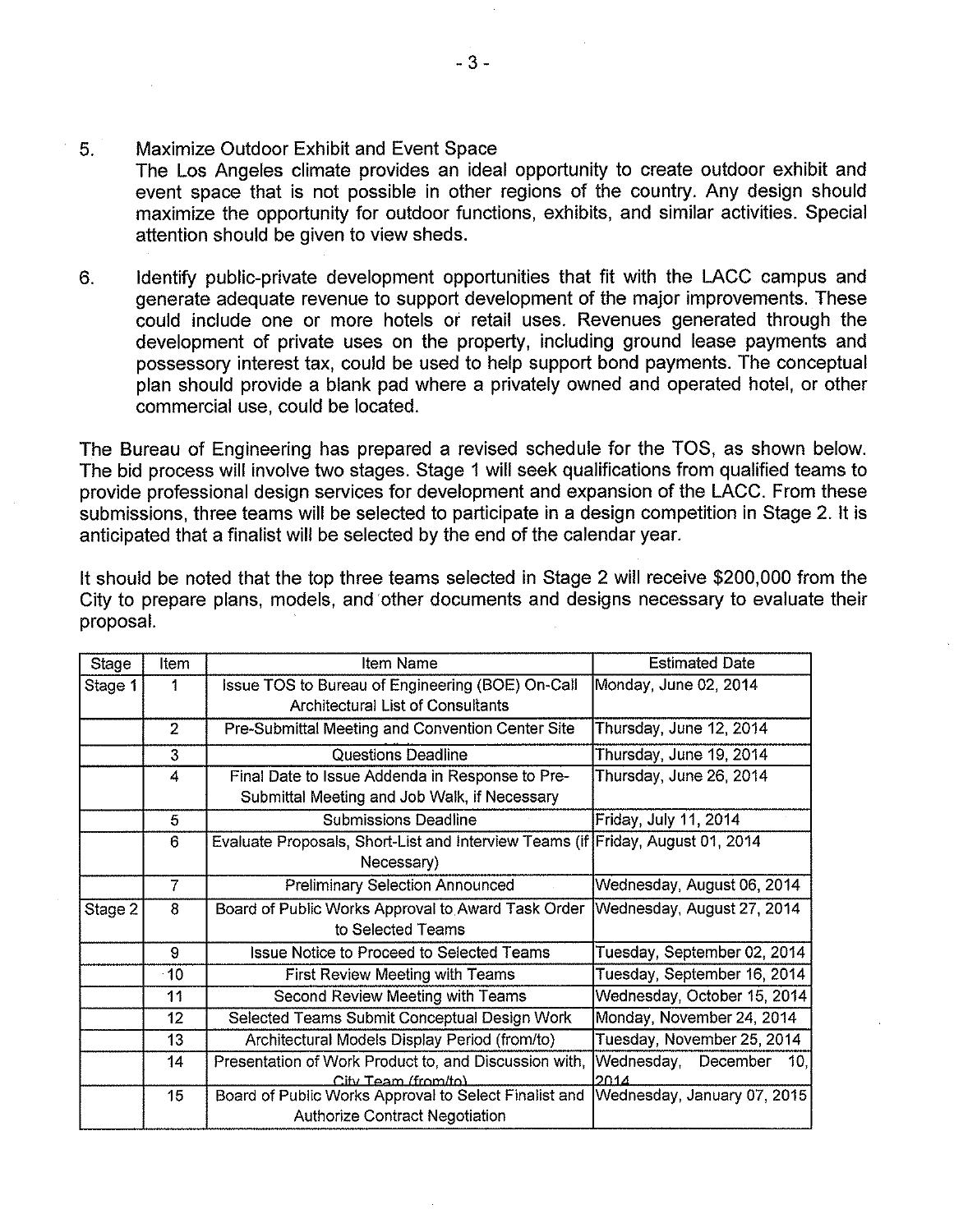### 5. Maximize Outdoor Exhibit and Event Space

The Los Angeles climate provides an ideal opportunity to create outdoor exhibit and *event* space that is not possible in other regions of the country. Any design should maximize the opportunity for outdoor functions, exhibits, and similar activities. Special attention should be given to *view* sheds.

6. Identify public-private development opportunities that fit with the LACC campus and generate adequate revenue to support development of the major improvements. These could include one or more hotels or retail uses. Revenues generated through the development of private uses on the property, including ground lease payments and possessory interest tax, could be used to help support bond payments. The conceptual plan should provide a blank pad where a privately owned and operated hotel, or other commercial use, could be located.

The Bureau of Engineering has prepared a revised schedule for the TOS, as shown below. The bid process will involve two stages. Stage 1 will seek qualifications from qualified teams to provide professional design services for development and expansion of the LACC. From these submissions, three teams will be selected to participate in a design competition in Stage 2. It is anticipated that a finalist will be selected by the end of the calendar year.

It should be noted that the top three teams selected in Stage 2 will *receive* \$200,000 from the City to prepare plans, models, and other documents and designs necessary to *evaluate* their proposal.

| Stage   | Item           | Item Name                                                                      | <b>Estimated Date</b>       |
|---------|----------------|--------------------------------------------------------------------------------|-----------------------------|
| Stage 1 | 1              | Issue TOS to Bureau of Engineering (BOE) On-Call                               | Monday, June 02, 2014       |
|         |                | <b>Architectural List of Consultants</b>                                       |                             |
|         | $\overline{c}$ | Pre-Submittal Meeting and Convention Center Site                               | Thursday, June 12, 2014     |
|         | 3              | <b>Questions Deadline</b>                                                      | Thursday, June 19, 2014     |
|         | 4              | Final Date to Issue Addenda in Response to Pre-                                | Thursday, June 26, 2014     |
|         |                | Submittal Meeting and Job Walk, if Necessary                                   |                             |
|         | 5              | <b>Submissions Deadline</b>                                                    | Friday, July 11, 2014       |
|         | 6              | Evaluate Proposals, Short-List and Interview Teams (if Friday, August 01, 2014 |                             |
|         |                | Necessary)                                                                     |                             |
|         | 7              | <b>Preliminary Selection Announced</b>                                         | Wednesday, August 06, 2014  |
| Stage 2 | 8              | Board of Public Works Approval to Award Task Order                             | Wednesday, August 27, 2014  |
|         |                | to Selected Teams                                                              |                             |
|         | 9              | <b>Issue Notice to Proceed to Selected Teams</b>                               | Tuesday, September 02, 2014 |
|         | $-10$          | First Review Meeting with Teams                                                | Tuesday, September 16, 2014 |
|         | 11             | Second Review Meeting with Teams                                               | Wednesday, October 15, 2014 |
|         | 12             | Selected Teams Submit Conceptual Design Work                                   | Monday, November 24, 2014   |
|         | 13             | Architectural Models Display Period (from/to)                                  | Tuesday, November 25, 2014  |
|         | 14             | Presentation of Work Product to, and Discussion with,                          | Wednesday, December<br>10.  |
|         |                | City Team (from/to).                                                           | 2014                        |
|         | 15             | Board of Public Works Approval to Select Finalist and                          | Wednesday, January 07, 2015 |
|         |                | <b>Authorize Contract Negotiation</b>                                          |                             |